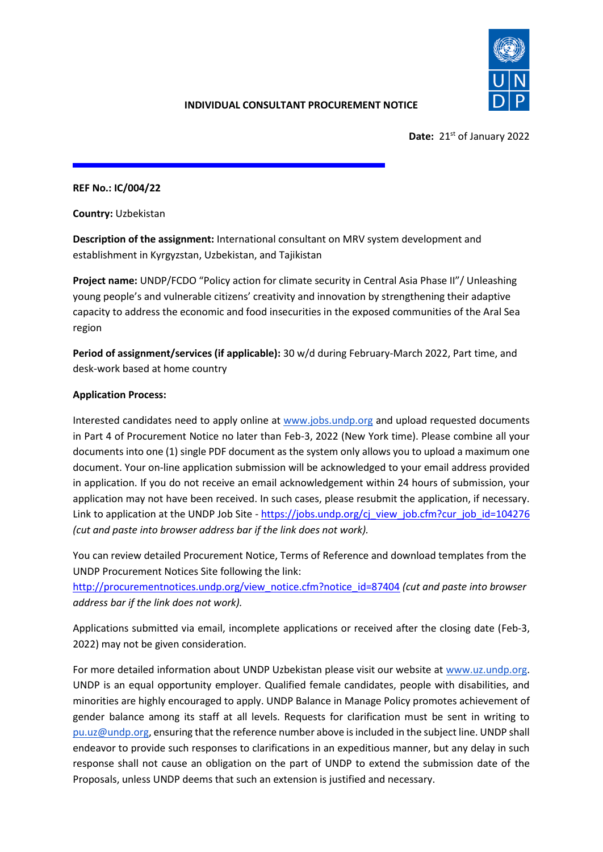

# **INDIVIDUAL CONSULTANT PROCUREMENT NOTICE**

Date: 21<sup>st</sup> of January 2022

**REF No.: IС/004/22**

**Country:** Uzbekistan

**Description of the assignment:** International consultant on MRV system development and establishment in Kyrgyzstan, Uzbekistan, and Tajikistan

**Project name:** UNDP/FCDO "Policy action for climate security in Central Asia Phase II"/ Unleashing young people's and vulnerable citizens' creativity and innovation by strengthening their adaptive capacity to address the economic and food insecurities in the exposed communities of the Aral Sea region

**Period of assignment/services (if applicable):** 30 w/d during February-March 2022, Part time, and desk-work based at home country

# **Application Process:**

Interested candidates need to apply online at [www.jobs.undp.org](http://www.jobs.undp.org/) and upload requested documents in Part 4 of Procurement Notice no later than Feb-3, 2022 (New York time). Please combine all your documents into one (1) single PDF document as the system only allows you to upload a maximum one document. Your on-line application submission will be acknowledged to your email address provided in application. If you do not receive an email acknowledgement within 24 hours of submission, your application may not have been received. In such cases, please resubmit the application, if necessary. Link to application at the UNDP Job Site - [https://jobs.undp.org/cj\\_view\\_job.cfm?cur\\_job\\_id=104276](https://jobs.undp.org/cj_view_job.cfm?cur_job_id=104276) *(cut and paste into browser address bar if the link does not work).* 

You can review detailed Procurement Notice, Terms of Reference and download templates from the UNDP Procurement Notices Site following the link:

[http://procurementnotices.undp.org/view\\_notice.cfm?notice\\_id=87404](http://procurementnotices.undp.org/view_notice.cfm?notice_id=87404) *(cut and paste into browser address bar if the link does not work).*

Applications submitted via email, incomplete applications or received after the closing date (Feb-3, 2022) may not be given consideration.

For more detailed information about UNDP Uzbekistan please visit our website at [www.uz.undp.org.](http://www.uz.undp.org/) UNDP is an equal opportunity employer. Qualified female candidates, people with disabilities, and minorities are highly encouraged to apply. UNDP Balance in Manage Policy promotes achievement of gender balance among its staff at all levels. Requests for clarification must be sent in writing to [pu.uz@undp.org,](mailto:pu.uz@undp.org) ensuring that the reference number above is included in the subject line. UNDP shall endeavor to provide such responses to clarifications in an expeditious manner, but any delay in such response shall not cause an obligation on the part of UNDP to extend the submission date of the Proposals, unless UNDP deems that such an extension is justified and necessary.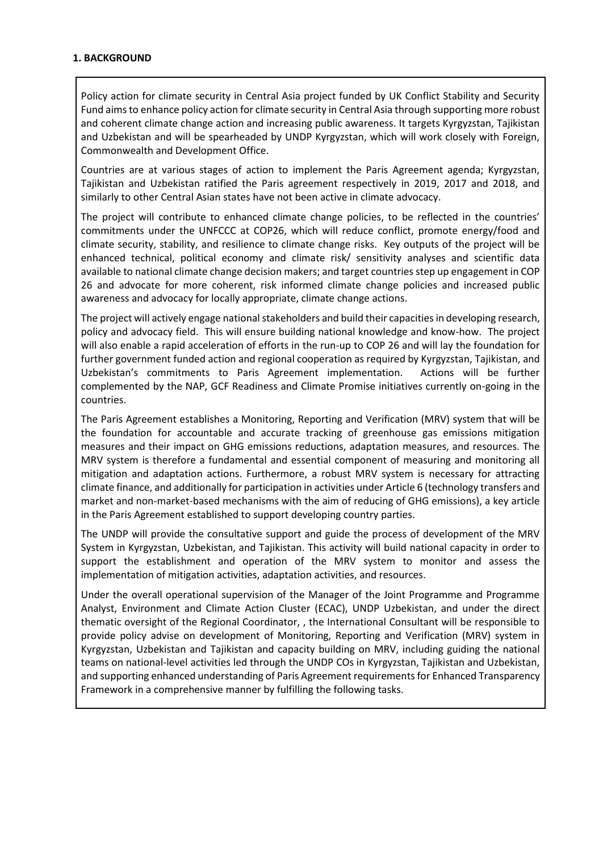#### **1. BACKGROUND**

Policy action for climate security in Central Asia project funded by UK Conflict Stability and Security Fund aims to enhance policy action for climate security in Central Asia through supporting more robust and coherent climate change action and increasing public awareness. It targets Kyrgyzstan, Tajikistan and Uzbekistan and will be spearheaded by UNDP Kyrgyzstan, which will work closely with Foreign, Commonwealth and Development Office.

Countries are at various stages of action to implement the Paris Agreement agenda; Kyrgyzstan, Tajikistan and Uzbekistan ratified the Paris agreement respectively in 2019, 2017 and 2018, and similarly to other Central Asian states have not been active in climate advocacy.

The project will contribute to enhanced climate change policies, to be reflected in the countries' commitments under the UNFCCC at COP26, which will reduce conflict, promote energy/food and climate security, stability, and resilience to climate change risks. Key outputs of the project will be enhanced technical, political economy and climate risk/ sensitivity analyses and scientific data available to national climate change decision makers; and target countries step up engagement in COP 26 and advocate for more coherent, risk informed climate change policies and increased public awareness and advocacy for locally appropriate, climate change actions.

The project will actively engage national stakeholders and build their capacities in developing research, policy and advocacy field. This will ensure building national knowledge and know-how. The project will also enable a rapid acceleration of efforts in the run-up to COP 26 and will lay the foundation for further government funded action and regional cooperation as required by Kyrgyzstan, Tajikistan, and Uzbekistan's commitments to Paris Agreement implementation. Actions will be further complemented by the NAP, GCF Readiness and Climate Promise initiatives currently on-going in the countries.

The Paris Agreement establishes a Monitoring, Reporting and Verification (MRV) system that will be the foundation for accountable and accurate tracking of greenhouse gas emissions mitigation measures and their impact on GHG emissions reductions, adaptation measures, and resources. The MRV system is therefore a fundamental and essential component of measuring and monitoring all mitigation and adaptation actions. Furthermore, a robust MRV system is necessary for attracting climate finance, and additionally for participation in activities under Article 6 (technology transfers and market and non-market-based mechanisms with the aim of reducing of GHG emissions), a key article in the Paris Agreement established to support developing country parties.

The UNDP will provide the consultative support and guide the process of development of the MRV System in Kyrgyzstan, Uzbekistan, and Tajikistan. This activity will build national capacity in order to support the establishment and operation of the MRV system to monitor and assess the implementation of mitigation activities, adaptation activities, and resources.

Under the overall operational supervision of the Manager of the Joint Programme and Programme Analyst, Environment and Climate Action Cluster (ECAC), UNDP Uzbekistan, and under the direct thematic oversight of the Regional Coordinator, , the International Consultant will be responsible to provide policy advise on development of Monitoring, Reporting and Verification (MRV) system in Kyrgyzstan, Uzbekistan and Tajikistan and capacity building on MRV, including guiding the national teams on national-level activities led through the UNDP COs in Kyrgyzstan, Tajikistan and Uzbekistan, and supporting enhanced understanding of Paris Agreement requirements for Enhanced Transparency Framework in a comprehensive manner by fulfilling the following tasks.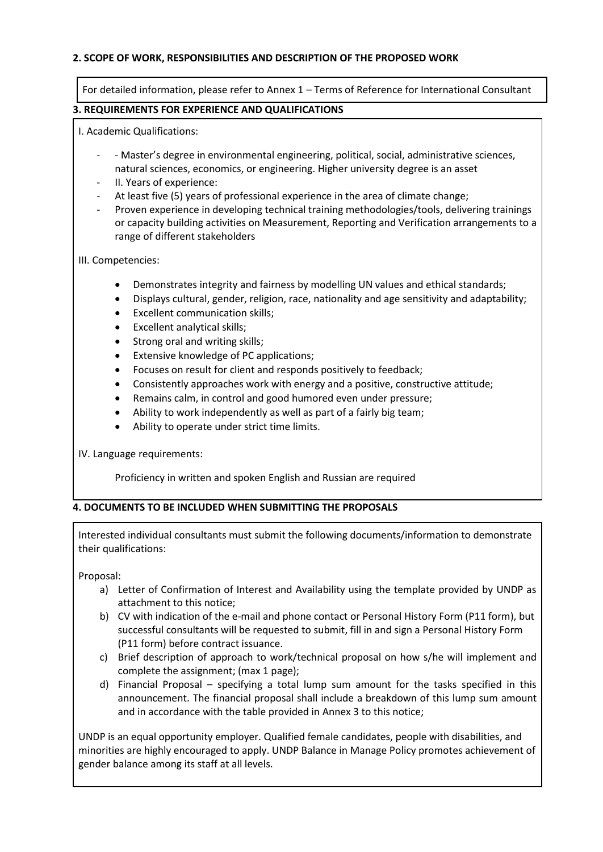### **2. SCOPE OF WORK, RESPONSIBILITIES AND DESCRIPTION OF THE PROPOSED WORK**

For detailed information, please refer to Annex 1 – Terms of Reference for International Consultant

### **3. REQUIREMENTS FOR EXPERIENCE AND QUALIFICATIONS**

I. Academic Qualifications:

- - Master's degree in environmental engineering, political, social, administrative sciences, natural sciences, economics, or engineering. Higher university degree is an asset
- II. Years of experience:
- At least five (5) years of professional experience in the area of climate change;
- Proven experience in developing technical training methodologies/tools, delivering trainings or capacity building activities on Measurement, Reporting and Verification arrangements to a range of different stakeholders

III. Competencies:

- Demonstrates integrity and fairness by modelling UN values and ethical standards;
- Displays cultural, gender, religion, race, nationality and age sensitivity and adaptability;
- Excellent communication skills;
- Excellent analytical skills;
- Strong oral and writing skills;
- Extensive knowledge of PC applications;
- Focuses on result for client and responds positively to feedback;
- Consistently approaches work with energy and a positive, constructive attitude;
- Remains calm, in control and good humored even under pressure;
- Ability to work independently as well as part of a fairly big team;
- Ability to operate under strict time limits.

IV. Language requirements:

Proficiency in written and spoken English and Russian are required

#### **4. DOCUMENTS TO BE INCLUDED WHEN SUBMITTING THE PROPOSALS**

Interested individual consultants must submit the following documents/information to demonstrate their qualifications:

Proposal:

- a) Letter of Confirmation of Interest and Availability using the template provided by UNDP as attachment to this notice;
- b) CV with indication of the e-mail and phone contact or Personal History Form (P11 form), but successful consultants will be requested to submit, fill in and sign a Personal History Form (P11 form) before contract issuance.
- c) Brief description of approach to work/technical proposal on how s/he will implement and complete the assignment; (max 1 page);
- d) Financial Proposal specifying a total lump sum amount for the tasks specified in this announcement. The financial proposal shall include a breakdown of this lump sum amount and in accordance with the table provided in Annex 3 to this notice;

UNDP is an equal opportunity employer. Qualified female candidates, people with disabilities, and minorities are highly encouraged to apply. UNDP Balance in Manage Policy promotes achievement of gender balance among its staff at all levels.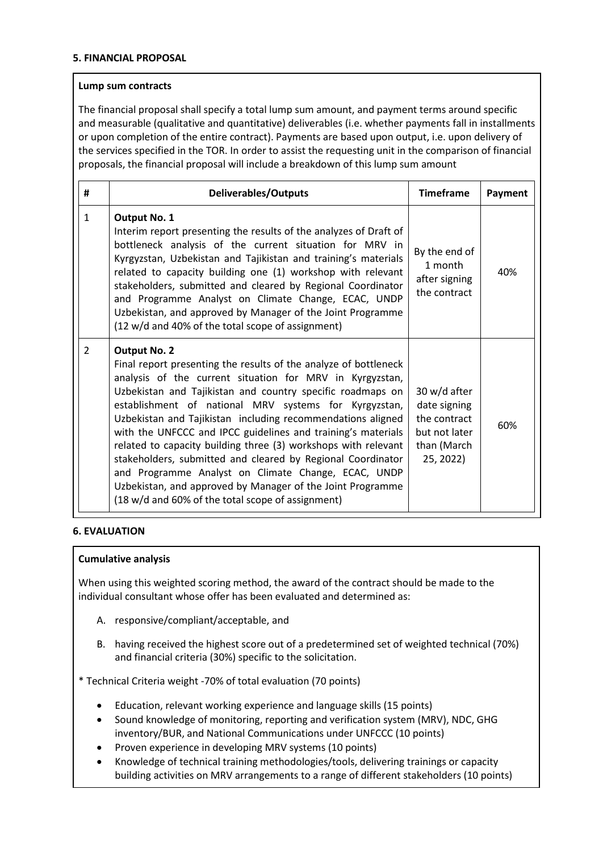#### **5. FINANCIAL PROPOSAL**

#### **Lump sum contracts**

The financial proposal shall specify a total lump sum amount, and payment terms around specific and measurable (qualitative and quantitative) deliverables (i.e. whether payments fall in installments or upon completion of the entire contract). Payments are based upon output, i.e. upon delivery of the services specified in the TOR. In order to assist the requesting unit in the comparison of financial proposals, the financial proposal will include a breakdown of this lump sum amount

| #              | <b>Deliverables/Outputs</b>                                                                                                                                                                                                                                                                                                                                                                                                                                                                                                                                                                                                                                                                                          | <b>Timeframe</b>                                                                          | Payment |
|----------------|----------------------------------------------------------------------------------------------------------------------------------------------------------------------------------------------------------------------------------------------------------------------------------------------------------------------------------------------------------------------------------------------------------------------------------------------------------------------------------------------------------------------------------------------------------------------------------------------------------------------------------------------------------------------------------------------------------------------|-------------------------------------------------------------------------------------------|---------|
| $\mathbf{1}$   | <b>Output No. 1</b><br>Interim report presenting the results of the analyzes of Draft of<br>bottleneck analysis of the current situation for MRV in<br>Kyrgyzstan, Uzbekistan and Tajikistan and training's materials<br>related to capacity building one (1) workshop with relevant<br>stakeholders, submitted and cleared by Regional Coordinator<br>and Programme Analyst on Climate Change, ECAC, UNDP<br>Uzbekistan, and approved by Manager of the Joint Programme<br>(12 w/d and 40% of the total scope of assignment)                                                                                                                                                                                        | By the end of<br>1 month<br>after signing<br>the contract                                 | 40%     |
| $\overline{2}$ | <b>Output No. 2</b><br>Final report presenting the results of the analyze of bottleneck<br>analysis of the current situation for MRV in Kyrgyzstan,<br>Uzbekistan and Tajikistan and country specific roadmaps on<br>establishment of national MRV systems for Kyrgyzstan,<br>Uzbekistan and Tajikistan including recommendations aligned<br>with the UNFCCC and IPCC guidelines and training's materials<br>related to capacity building three (3) workshops with relevant<br>stakeholders, submitted and cleared by Regional Coordinator<br>and Programme Analyst on Climate Change, ECAC, UNDP<br>Uzbekistan, and approved by Manager of the Joint Programme<br>(18 w/d and 60% of the total scope of assignment) | 30 w/d after<br>date signing<br>the contract<br>but not later<br>than (March<br>25, 2022) | 60%     |

# **6. EVALUATION**

#### **Cumulative analysis**

When using this weighted scoring method, the award of the contract should be made to the individual consultant whose offer has been evaluated and determined as:

- A. responsive/compliant/acceptable, and
- B. having received the highest score out of a predetermined set of weighted technical (70%) and financial criteria (30%) specific to the solicitation.

\* Technical Criteria weight -70% of total evaluation (70 points)

- Education, relevant working experience and language skills (15 points)
- Sound knowledge of monitoring, reporting and verification system (MRV), NDC, GHG inventory/BUR, and National Communications under UNFCCC (10 points)
- Proven experience in developing MRV systems (10 points)
- Knowledge of technical training methodologies/tools, delivering trainings or capacity building activities on MRV arrangements to a range of different stakeholders (10 points)